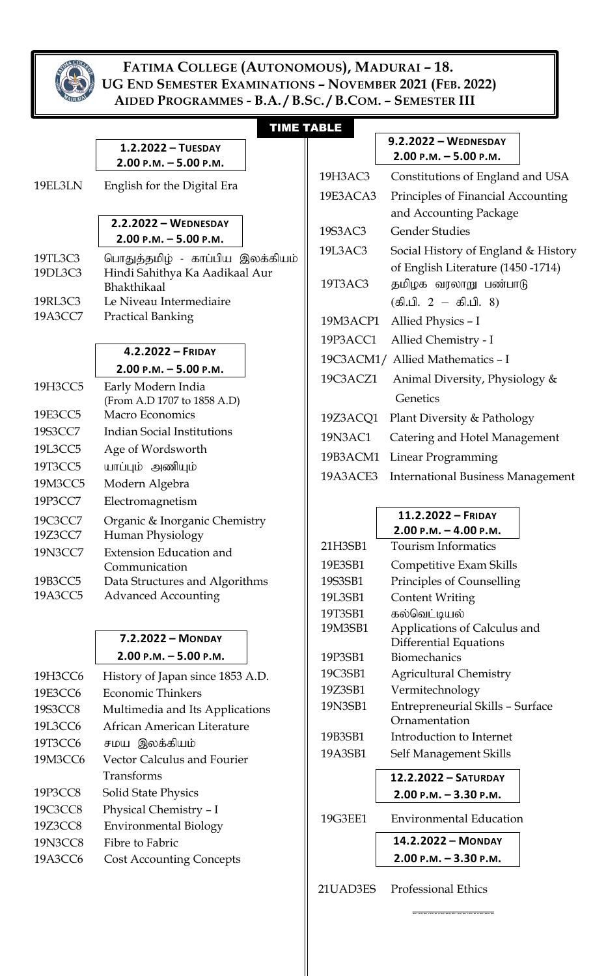

### **FATIMA COLLEGE (AUTONOMOUS), MADURAI – 18. UG END SEMESTER EXAMINATIONS – NOVEMBER 2021 (FEB. 2022) AIDED PROGRAMMES - B.A. / B.SC. / B.COM. – SEMESTER III**

## TIME TABLE

**9.2.2022 – WEDNESDAY 2.00 P.M. – 5.00 P.M.**

|          | 19H3AC3  | Constitutions of England and USA                  |  |
|----------|----------|---------------------------------------------------|--|
| 19E3ACA3 |          | Principles of Financial Accounting                |  |
|          |          | and Accounting Package                            |  |
|          | 19S3AC3  | <b>Gender Studies</b>                             |  |
|          | 19L3AC3  | Social History of England & History               |  |
|          |          | of English Literature (1450 -1714)                |  |
|          | 19T3AC3  | தமிழக வரலாறு பண்பாடு                              |  |
|          |          | $(\text{\ss }\!0.1. \ 2 - \text{\ss }\!0.1. \ 8)$ |  |
|          | 19M3ACP1 | Allied Physics - I                                |  |
|          | 19P3ACC1 | Allied Chemistry - I                              |  |
|          |          | 19C3ACM1/ Allied Mathematics - I                  |  |
|          | 19C3ACZ1 | Animal Diversity, Physiology &                    |  |
|          |          | Genetics                                          |  |
|          | 19Z3ACQ1 | Plant Diversity & Pathology                       |  |
|          | 19N3AC1  | Catering and Hotel Management                     |  |
|          | 19B3ACM1 | Linear Programming                                |  |
|          | 19A3ACE3 | <b>International Business Management</b>          |  |

| 11.2.2022 – FRIDAY                     |  |
|----------------------------------------|--|
| 3.00 - . <i>.</i><br>1.00 - . <i>.</i> |  |

|                            | $2.00$ P.M. $-$ 4.00 P.M.               |  |  |  |
|----------------------------|-----------------------------------------|--|--|--|
| 21H3SB1                    | <b>Tourism Informatics</b>              |  |  |  |
| 19E3SB1                    | Competitive Exam Skills                 |  |  |  |
| 19S3SB1                    | Principles of Counselling               |  |  |  |
| 19L3SB1                    | Content Writing                         |  |  |  |
| 19T3SB1                    | கல்வெட்டியல்                            |  |  |  |
| 19M3SB1                    | Applications of Calculus and            |  |  |  |
|                            | Differential Equations                  |  |  |  |
| 19P3SB1                    | <b>Biomechanics</b>                     |  |  |  |
| 19C3SB1                    | <b>Agricultural Chemistry</b>           |  |  |  |
| 19Z3SB1<br>Vermitechnology |                                         |  |  |  |
| 19N3SB1                    | <b>Entrepreneurial Skills - Surface</b> |  |  |  |
|                            | Ornamentation                           |  |  |  |
| 19B3SB1                    | Introduction to Internet                |  |  |  |
| 19A3SB1                    | Self Management Skills                  |  |  |  |
|                            | 12.2.2022 - SATURDAY                    |  |  |  |
|                            | $2.00$ P.M. $-$ 3.30 P.M.               |  |  |  |
| 19G3EE1                    | <b>Environmental Education</b>          |  |  |  |
|                            | 14.2.2022 - MONDAY                      |  |  |  |
|                            | 2.00 P.M. - 3.30 P.M.                   |  |  |  |
|                            |                                         |  |  |  |

21UAD3ES Professional Ethics

**\_\_\_\_\_\_\_\_\_\_\_\_\_\_**

|         | $2.00$ P.M. $-5.00$ P.M.                         |
|---------|--------------------------------------------------|
| 19EL3LN | English for the Digital Era                      |
|         | 2.2.2022 - WEDNESDAY<br>$2.00$ P.M. $-5.00$ P.M. |
| 19TL3C3 | பொதுத்தமிழ் - காப்பிய இலக்கியம்                  |
| 19DL3C3 | Hindi Sahithya Ka Aadikaal Aur                   |
|         | <b>Bhakthikaal</b>                               |
| 19RL3C3 | Le Niveau Intermediaire                          |
| 19A3CC7 | <b>Practical Banking</b>                         |

**1.2.2022 – TUESDAY** 

#### **4.2.2022 – FRIDAY 2.00 P.M. – 5.00 P.M.**

| 19H3CC5 | Early Modern India<br>(From A.D 1707 to 1858 A.D) |  |  |
|---------|---------------------------------------------------|--|--|
| 19E3CC5 | Macro Economics                                   |  |  |
| 19S3CC7 | Indian Social Institutions                        |  |  |
| 19L3CC5 | Age of Wordsworth                                 |  |  |
| 19T3CC5 | யாப்பும் அணியும்                                  |  |  |
| 19M3CC5 | Modern Algebra                                    |  |  |
| 19P3CC7 | Electromagnetism                                  |  |  |
| 19C3CC7 | Organic & Inorganic Chemistry                     |  |  |
| 19Z3CC7 | Human Physiology                                  |  |  |
| 19N3CC7 | <b>Extension Education and</b>                    |  |  |
|         | Communication                                     |  |  |
| 19B3CC5 | Data Structures and Algorithms                    |  |  |
| 19A3CC5 | <b>Advanced Accounting</b>                        |  |  |

## **7.2.2022 – MONDAY 2.00 P.M. – 5.00 P.M.**

| 19H3CC6        | History of Japan since 1853 A.D. |
|----------------|----------------------------------|
| 19E3CC6        | <b>Economic Thinkers</b>         |
| 19S3CC8        | Multimedia and Its Applications  |
| 19L3CC6        | African American Literature      |
| 19T3CC6        | சமய இலக்கியம்                    |
| 19M3CC6        | Vector Calculus and Fourier      |
|                | Transforms                       |
| 19P3CC8        | <b>Solid State Physics</b>       |
| 19C3CC8        | Physical Chemistry - I           |
| 19Z3CC8        | <b>Environmental Biology</b>     |
| <b>19N3CC8</b> | Fibre to Fabric                  |
| 19A3CC6        | <b>Cost Accounting Concepts</b>  |